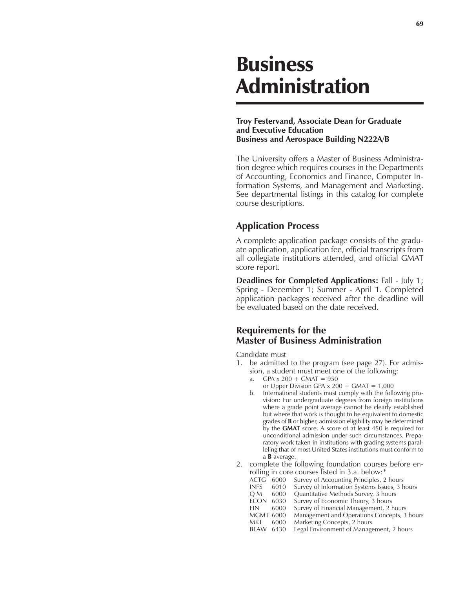## Business Administration

## **Troy Festervand, Associate Dean for Graduate and Executive Education Business and Aerospace Building N222A/B**

The University offers a Master of Business Administration degree which requires courses in the Departments of Accounting, Economics and Finance, Computer Information Systems, and Management and Marketing. See departmental listings in this catalog for complete course descriptions.

## **Application Process**

A complete application package consists of the graduate application, application fee, official transcripts from all collegiate institutions attended, and official GMAT score report.

**Deadlines for Completed Applications:** Fall - July 1; Spring - December 1; Summer - April 1. Completed application packages received after the deadline will be evaluated based on the date received.

## **Requirements for the Master of Business Administration**

Candidate must

- 1. be admitted to the program (see page 27). For admission, a student must meet one of the following:
	- a. GPA  $x 200 + G$ MAT = 950
	- or Upper Division GPA  $x$  200 + GMAT = 1,000
	- b. International students must comply with the following provision: For undergraduate degrees from foreign institutions where a grade point average cannot be clearly established but where that work is thought to be equivalent to domestic grades of **B** or higher, admission eligibility may be determined by the **GMAT** score. A score of at least 450 is required for unconditional admission under such circumstances. Preparatory work taken in institutions with grading systems paralleling that of most United States institutions must conform to a **B** average.
- 2. complete the following foundation courses before enrolling in core courses listed in 3.a. below:\*

| ACTG             | 6000 | Survey of Accounting Principles, 2 hours      |
|------------------|------|-----------------------------------------------|
| <b>INFS</b>      | 6010 | Survey of Information Systems Issues, 3 hours |
| Q M              | 6000 | Quantitative Methods Survey, 3 hours          |
| <b>ECON</b>      | 6030 | Survey of Economic Theory, 3 hours            |
| FIN.             | 6000 | Survey of Financial Management, 2 hours       |
| <b>MGMT 6000</b> |      | Management and Operations Concepts, 3 hours   |
| MKT              | 6000 | Marketing Concepts, 2 hours                   |
| BLAW             | 6430 | Legal Environment of Management, 2 hours      |